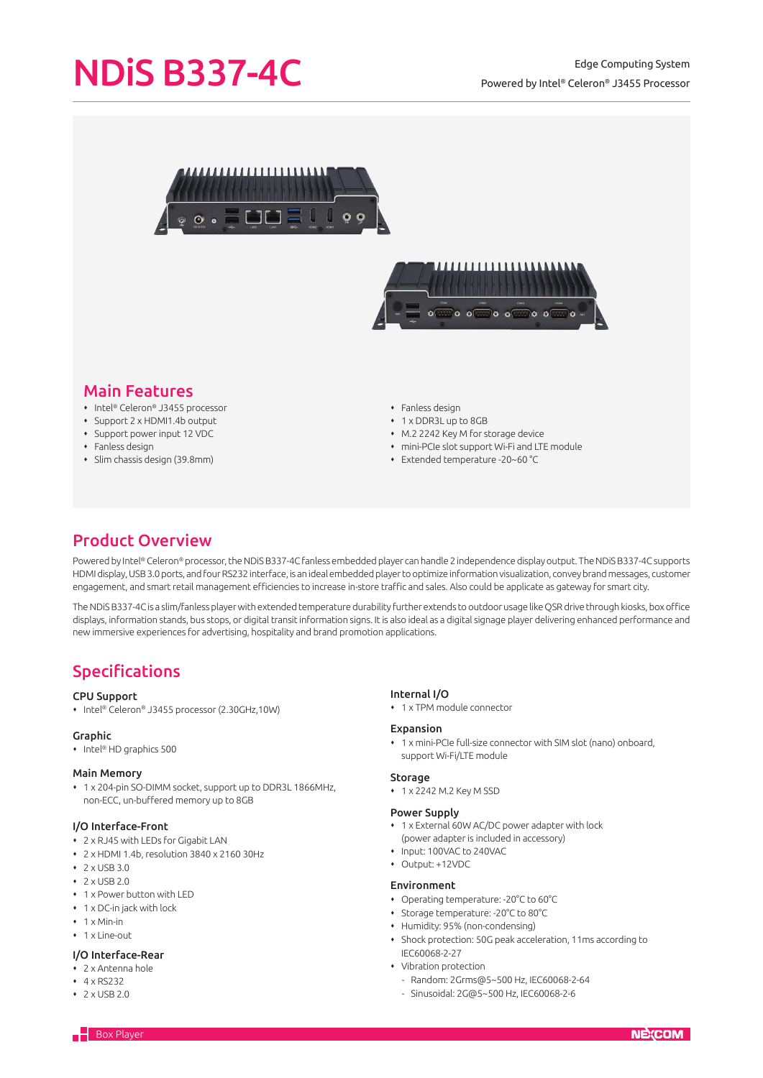## Powered by Intel® Celeron® J3455 Processor

# NDIS B337-4C<br>
Edge Computing System





## Main Features

- ◆ Intel® Celeron® J3455 processor
- Support 2 x HDMI1.4b output
- Support power input 12 VDC
- $\cdot$  Fanless design
- Slim chassis design (39.8mm)
- Fanless design
- 1 x DDR3L up to 8GB
- M.2 2242 Key M for storage device
- mini-PCIe slot support Wi-Fi and LTE module
- Extended temperature -20~60 °C

## Product Overview

Powered by Intel® Celeron® processor, the NDiS B337-4C fanless embedded player can handle 2 independence display output. The NDiS B337-4C supports HDMI display, USB 3.0 ports, and four RS232 interface, is an ideal embedded player to optimize information visualization, convey brand messages, customer engagement, and smart retail management efficiencies to increase in-store traffic and sales. Also could be applicate as gateway for smart city.

The NDiS B337-4C is a slim/fanless player with extended temperature durability further extends to outdoor usage like QSR drive through kiosks, box office displays, information stands, bus stops, or digital transit information signs. It is also ideal as a digital signage player delivering enhanced performance and new immersive experiences for advertising, hospitality and brand promotion applications.

## Specifications

#### CPU Support

Intel® Celeron® J3455 processor (2.30GHz,10W)

#### Graphic

• Intel® HD graphics 500

#### Main Memory

 1 x 204-pin SO-DIMM socket, support up to DDR3L 1866MHz, non-ECC, un-buffered memory up to 8GB

#### I/O Interface-Front

- 2 x RJ45 with LEDs for Gigabit LAN
- 2 x HDMI 1.4b, resolution 3840 x 2160 30Hz
- $2$   $\times$  USB 3.0
- $\cdot$  2 x USB 2.0
- 1 x Power button with LED
- 1 x DC-in jack with lock
- $\cdot$  1 x Min-in
- $\cdot$  1 x Line-out

#### I/O Interface-Rear

- 2 x Antenna hole
- 4 x RS232
- $2$  x USB 2.0

#### Internal I/O

1 x TPM module connector

#### Expansion

 1 x mini-PCIe full-size connector with SIM slot (nano) onboard, support Wi-Fi/LTE module

#### **Storage**

1 x 2242 M.2 Key M SSD

#### Power Supply

- 1 x External 60W AC/DC power adapter with lock (power adapter is included in accessory)
- Input: 100VAC to 240VAC
- Output: +12VDC

#### Environment

- Operating temperature: -20°C to 60°C
- Storage temperature: -20°C to 80°C
- Humidity: 95% (non-condensing)
- Shock protection: 50G peak acceleration, 11ms according to IEC60068-2-27
- Vibration protection
	- Random: 2Grms@5~500 Hz, IEC60068-2-64
	- Sinusoidal: 2G@5~500 Hz, IEC60068-2-6